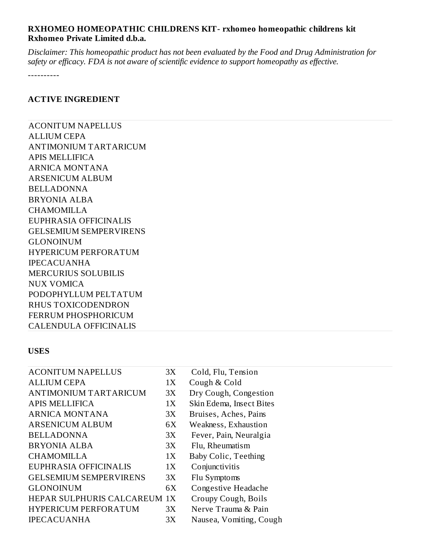# **RXHOMEO HOMEOPATHIC CHILDRENS KIT- rxhomeo homeopathic childrens kit Rxhomeo Private Limited d.b.a.**

*Disclaimer: This homeopathic product has not been evaluated by the Food and Drug Administration for safety or efficacy. FDA is not aware of scientific evidence to support homeopathy as effective.*

----------

### **ACTIVE INGREDIENT**

ACONITUM NAPELLUS ALLIUM CEPA ANTIMONIUM TARTARICUM APIS MELLIFICA ARNICA MONTANA ARSENICUM ALBUM BELLADONNA BRYONIA ALBA CHAMOMILLA EUPHRASIA OFFICINALIS GELSEMIUM SEMPERVIRENS GLONOINUM HYPERICUM PERFORATUM IPECACUANHA MERCURIUS SOLUBILIS NUX VOMICA PODOPHYLLUM PELTATUM RHUS TOXICODENDRON FERRUM PHOSPHORICUM CALENDULA OFFICINALIS

#### **USES**

| <b>ACONITUM NAPELLUS</b>      | 3X | Cold, Flu, Tension          |
|-------------------------------|----|-----------------------------|
| <b>ALLIUM CEPA</b>            | 1X | Cough & Cold                |
| <b>ANTIMONIUM TARTARICUM</b>  | 3X | Dry Cough, Congestion       |
| <b>APIS MELLIFICA</b>         | 1X | Skin Edema, Insect Bites    |
| <b>ARNICA MONTANA</b>         | 3X | Bruises, Aches, Pains       |
| <b>ARSENICUM ALBUM</b>        | 6X | Weakness, Exhaustion        |
| <b>BELLADONNA</b>             | 3X | Fever, Pain, Neuralgia      |
| <b>BRYONIA ALBA</b>           | 3X | Flu, Rheumatism             |
| <b>CHAMOMILLA</b>             | 1X | <b>Baby Colic, Teething</b> |
| EUPHRASIA OFFICINALIS         | 1X | Conjunctivitis              |
| <b>GELSEMIUM SEMPERVIRENS</b> | 3X | Flu Symptoms                |
| <b>GLONOINUM</b>              | 6X | Congestive Headache         |
| HEPAR SULPHURIS CALCAREUM 1X  |    | Croupy Cough, Boils         |
| <b>HYPERICUM PERFORATUM</b>   | 3X | Nerve Trauma & Pain         |
| <b>IPECACUANHA</b>            | 3X | Nausea, Vomiting, Cough     |
|                               |    |                             |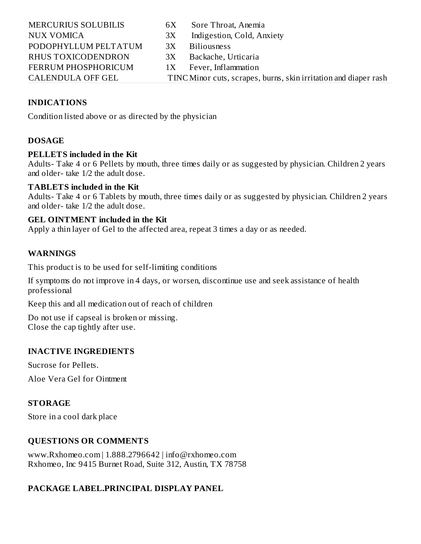| <b>MERCURIUS SOLUBILIS</b> | 6X | Sore Throat, Anemia                                              |
|----------------------------|----|------------------------------------------------------------------|
| <b>NUX VOMICA</b>          | 3X | Indigestion, Cold, Anxiety                                       |
| PODOPHYLLUM PELTATUM       | 3X | <b>Biliousness</b>                                               |
| RHUS TOXICODENDRON         | 3X | Backache, Urticaria                                              |
| <b>FERRUM PHOSPHORICUM</b> |    | 1X Fever, Inflammation                                           |
| <b>CALENDULA OFF GEL</b>   |    | TINC Minor cuts, scrapes, burns, skin irritation and diaper rash |

# **INDICATIONS**

Condition listed above or as directed by the physician

### **DOSAGE**

#### **PELLETS included in the Kit**

Adults- Take 4 or 6 Pellets by mouth, three times daily or as suggested by physician. Children 2 years and older- take 1/2 the adult dose.

#### **TABLETS included in the Kit**

Adults- Take 4 or 6 Tablets by mouth, three times daily or as suggested by physician. Children 2 years and older- take 1/2 the adult dose.

#### **GEL OINTMENT included in the Kit**

Apply a thin layer of Gel to the affected area, repeat 3 times a day or as needed.

# **WARNINGS**

This product is to be used for self-limiting conditions

If symptoms do not improve in 4 days, or worsen, discontinue use and seek assistance of health professional

Keep this and all medication out of reach of children

Do not use if capseal is broken or missing. Close the cap tightly after use.

# **INACTIVE INGREDIENTS**

Sucrose for Pellets.

Aloe Vera Gel for Ointment

#### **STORAGE**

Store in a cool dark place

# **QUESTIONS OR COMMENTS**

www.Rxhomeo.com | 1.888.2796642 | info@rxhomeo.com Rxhomeo, Inc 9415 Burnet Road, Suite 312, Austin, TX 78758

# **PACKAGE LABEL.PRINCIPAL DISPLAY PANEL**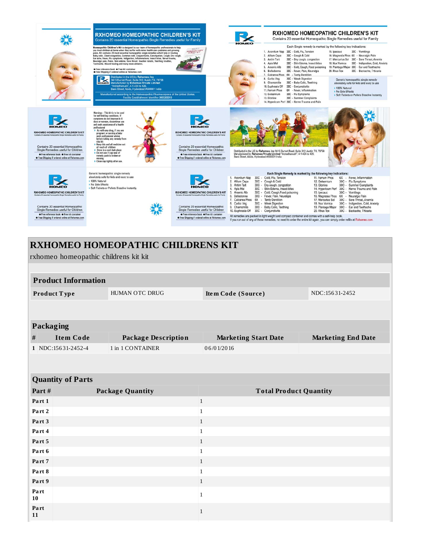|                                                                                                                                                                                                                                                                                                  | <b>RXHOMEO HOMEOPATHIC CHILDREN'S KIT</b><br>Contains 20 essential Homeopathic Single Remedies useful for Family<br>Homeopathic Children's Kit is designed by our team of homeopathic professionals to help<br>you treat children at home when they suffer with minor health care problems and growing<br>pains. Kit contains 20 most essential homeopathic single remedies which help in treating<br>Baby colic, Chest congestion, Common cold, Conjunctivitis, Constipation, Cough, Dry cough,<br>Ear ache, Fever, Flu symptoms, Indigestion, Inflammations, Insect bites, Nerve trauma,<br>Neuralgic pain, Pains, Skin edema, Sore throat, Swollen tonsils, Teething troubles,<br>Toothache, Wound healing and many more ailments.<br>• Free reference book • Free kit container<br>• Free Shipping if ordered online at Rxhomeo.com<br>Distributed in the US by Rxhomeo, Inc.<br>$\bullet$<br>9415 Burnet Road, Suite 312, Austin TX, 78758<br>Holyten Manufactured by Rxhomeo Private Limited<br>"Indradhanush", 4-1-424 to 426.<br>Bank Street, Abids, Hyderabad #500001 India<br>Manufactured according to the Homoeopathic Pharmacopoeia of the United States.<br>Facility Establishment Identifier 3005269310 | HAAPY N<br>HOMEOPATHIC                                                                                                                                                                                                                                                                                  | ном∈о                                                                                                                                                                                                      | 30C - Cold, Flu, Tension<br>1. Aconitum Nap<br>2. Allium Cepa<br>30C - Cough & Cold<br>3. Antim Tart<br>30C - Dry cough, congestion<br>30C - Skin Edema, Insect bites<br>4. Apis Mel<br>5. Arsenic Alb<br>30C - Cold, Cough, Food poisoning<br>6. Belladonna<br>30C - Fever, Pain, Neuralgia<br>7. Calcarea Phos 6X - Tardy Dentition<br>30C - Weak Digestion<br>8. Carbo Veg<br>30C - Baby Colic, Teething<br>9. Chamomilla<br>10. Euphrasia Off<br>30C - Conjunctivitis<br>6X - Fever, Inflammation<br>11. Ferrum Phos<br>12. Gelsemium<br>30C - Flu Symptoms<br>13. Glonine<br>30C - Summer Complaints<br>14. Hypericum Perf 30C - Nerve Trauma and Pain | 15. lpecauc                                                                                                                                                      | <b>RXHOMEO HOMEOPATHIC CHILDREN'S KIT</b><br>Contains 20 essential Homeopathic Single Remedies useful for Family<br>Each Single remedy is marked by the following key indications:<br>30C - Vomitings<br>16. Magnesia Phos 6X - Neuralgic Pain<br>17. Mercurius Sol 30C - Sore Throat, Anemia<br>30C - Indigestion, Cold, Anxiety<br>18. Nux Vomica<br>19, Plantago Major 30C - Ear and Toothache<br>30C - Backache, Trticaria<br>20. Rhus Tox<br>Generic homeopathic single remedy<br>absolutely safe for kids and easy to use<br>> 100% Natural<br>Mo Side Effects<br>Soft Tablets or Pellets Dissolve Instantly |
|--------------------------------------------------------------------------------------------------------------------------------------------------------------------------------------------------------------------------------------------------------------------------------------------------|------------------------------------------------------------------------------------------------------------------------------------------------------------------------------------------------------------------------------------------------------------------------------------------------------------------------------------------------------------------------------------------------------------------------------------------------------------------------------------------------------------------------------------------------------------------------------------------------------------------------------------------------------------------------------------------------------------------------------------------------------------------------------------------------------------------------------------------------------------------------------------------------------------------------------------------------------------------------------------------------------------------------------------------------------------------------------------------------------------------------------------------------------------------------------------------------------------------------|---------------------------------------------------------------------------------------------------------------------------------------------------------------------------------------------------------------------------------------------------------------------------------------------------------|------------------------------------------------------------------------------------------------------------------------------------------------------------------------------------------------------------|-------------------------------------------------------------------------------------------------------------------------------------------------------------------------------------------------------------------------------------------------------------------------------------------------------------------------------------------------------------------------------------------------------------------------------------------------------------------------------------------------------------------------------------------------------------------------------------------------------------------------------------------------------------|------------------------------------------------------------------------------------------------------------------------------------------------------------------|--------------------------------------------------------------------------------------------------------------------------------------------------------------------------------------------------------------------------------------------------------------------------------------------------------------------------------------------------------------------------------------------------------------------------------------------------------------------------------------------------------------------------------------------------------------------------------------------------------------------|
| HOMEO<br>RXHOMEO HOMEOPATHIC CHILDREN'S KIT<br>Contains 20 essential Homeopathic Single Remedies useful for Family<br>Contains 20 essential Homeopathic<br>Single Remedies useful for Children<br>• Free reference book • Free kit container<br>• Free Shipping if ordered online at Rxhomeo.com | Warnings : This kit is to be used<br>for self-limiting conditions. If<br>symptoms do not improve in 4<br>days or worsen, discontinue use<br>and seek assistance of a health<br>professional<br>> As with any drug, if you are<br>pregnant or nursing a baby<br>seek professional advise<br>before taking any remedy from<br>this kit<br>> Keep this and all medicine out<br>of reach of children<br>> Store in a cool dark place<br>Do not use if cap seal of<br>remedy pack is broken or<br>missing<br>> Close cap tightly after use.                                                                                                                                                                                                                                                                                                                                                                                                                                                                                                                                                                                                                                                                                 | <b>HOMEO</b><br>RXHOMEO HOMEOPATHIC CHILDREN'S KIT<br>Contains 20 essential Homeopathic Single Remedies useful for Family<br>Contains 20 essential Homeopathic<br>Single Remedies useful for Children<br>• Free reference book • Free kit container<br>• Free Shipping if ordered online at Rxhomeo.com | Bank Street, Abids, Hyderabad #500001 India                                                                                                                                                                | Distributed in the US by Rxhomeo, Inc 9415 Burnet Road, Suite 312, Austin TX, 78758<br>Manufactured by Rxhomeo Private Limited "Indradhanush", 4-1-424 to 426,                                                                                                                                                                                                                                                                                                                                                                                                                                                                                              |                                                                                                                                                                  |                                                                                                                                                                                                                                                                                                                                                                                                                                                                                                                                                                                                                    |
| HOMEO<br>RXHOMEO HOMEOPATHIC CHILDREN'S KIT<br>Contains 20 essential Homeopathic Single Remedies useful for Family<br>Contains 20 essential Homeopathic<br>Single Remedies useful for Children<br>• Free reference book • Free kit container<br>• Free Shipping if ordered online at Rxhomeo.com | Generic homeopathic single remedy<br>absolutely safe for kids and easy to use<br>> 100% Natural<br>Mo Side Effects<br>> Soft Tablets or Pellets Dissolve Instantly                                                                                                                                                                                                                                                                                                                                                                                                                                                                                                                                                                                                                                                                                                                                                                                                                                                                                                                                                                                                                                                     | <b>RXHOMEO HOMEOPATHIC CHILDREN'S KIT</b><br>Contains 20 essential Homeopathic Single Remedies useful for Family<br>Contains 20 essential Homeopathic<br>Single Remedies useful for Children<br>• Free reference book • Free kit container<br>• Free Shipping if ordered online at Rxhomeo.com          | 1. Aconitum Nap<br>2. Allium Cepa<br>3. Antim Tart<br>4. Apis Mel<br>30C<br>5. Arsenic Alb<br>6. Belladonna<br>7. Calcarea Phos 6X - Tardy Dentition<br>8. Carbo Veg<br>9. Chamomilla<br>10. Euphrasia Off | Each Single Remedy is marked by the following key indications:<br>30C - Cold, Flu, Tension<br>30C - Cough & Cold<br>30C - Dry cough, congestion<br>- Skin Edema, Insect bites<br>30C - Cold, Cough, Food poisoning<br>30C - Fever, Pain, Neuralgia<br>30C - Weak Digestion<br>30C - Baby Colic, Teething<br>30C - Conjunctivitis<br>All remedies are packed in light weight and compact container and comes with a self-help book.<br>If you run out of any of these remedies, no need to order the entire kit again, you can simply order refills at Rxhomeo.com.                                                                                          | 11. Ferrum Phos<br>12. Gelsemium<br>13. Glonine<br>15. Ipecauc<br>16. Magnesia Phos<br>17. Mercurius Sol<br>18. Nux Vomica<br>19. Plantago Major<br>20. Rhus Tox | 6X - Fever, Inflammation<br>30C - Flu Symptoms<br>30C - Summer Complaints<br>14. Hypericum Perf 30C - Nerve Trauma and Pain<br>30C - Vomitings<br>6X - Neuralgic Pain<br>30C - Sore Throat, Anemia<br>30C - Indigestion, Cold, Anxiety<br>30C - Ear and Toothache<br>30C - Backache, Trticaria                                                                                                                                                                                                                                                                                                                     |

|                                |                                       | <b>RXHOMEO HOMEOPATHIC CHILDRENS KIT</b> |                               |                           |
|--------------------------------|---------------------------------------|------------------------------------------|-------------------------------|---------------------------|
|                                | rxhomeo homeopathic childrens kit kit |                                          |                               |                           |
|                                |                                       |                                          |                               |                           |
|                                | <b>Product Information</b>            |                                          |                               |                           |
| HUMAN OTC DRUG<br>Product Type |                                       |                                          | Item Code (Source)            | NDC:15631-2452            |
|                                |                                       |                                          |                               |                           |
| <b>Packaging</b>               |                                       |                                          |                               |                           |
| #                              | <b>Item Code</b>                      | <b>Package Description</b>               | <b>Marketing Start Date</b>   | <b>Marketing End Date</b> |
|                                | 1 NDC:15631-2452-4                    | 1 in 1 CONTAINER                         | 06/01/2016                    |                           |
|                                |                                       |                                          |                               |                           |
|                                | <b>Quantity of Parts</b>              |                                          |                               |                           |
| Part#                          |                                       | <b>Package Quantity</b>                  | <b>Total Product Quantity</b> |                           |
| Part 1                         |                                       |                                          | 1                             |                           |
| Part 2                         |                                       |                                          | $\mathbf{1}$                  |                           |
| Part 3                         |                                       |                                          | $\mathbf{1}$                  |                           |
| Part 4                         |                                       |                                          | $\mathbf{1}$                  |                           |
| Part 5                         |                                       |                                          | $\mathbf{1}$                  |                           |
| Part 6                         |                                       |                                          | $\mathbf{1}$                  |                           |
| Part 7                         |                                       |                                          | $\mathbf{1}$                  |                           |
| Part 8                         |                                       |                                          | $\mathbf{1}$                  |                           |
| Part 9                         |                                       |                                          | $\mathbf{1}$                  |                           |
| Part<br>10                     |                                       |                                          | $\mathbf{1}$                  |                           |

1

**10**

**Pa rt 11**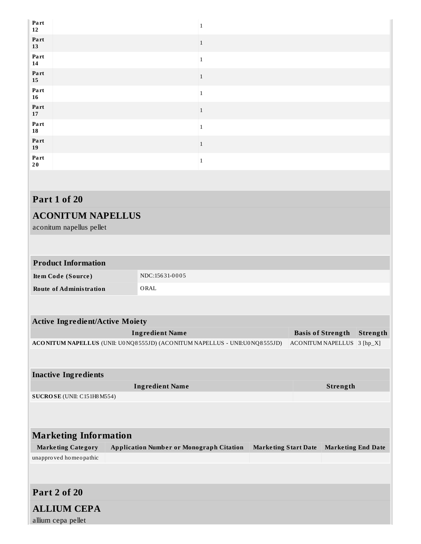| Part<br>12              |              |
|-------------------------|--------------|
| Part<br>13              | $\mathbf{1}$ |
| Part<br>14              |              |
| Part<br>15              | $\mathbf{1}$ |
| Part<br>$16\phantom{.}$ |              |
| Part<br>17              | $\mathbf{1}$ |
| Part<br>18              |              |
| Part<br>19              | 1            |
| Part<br>20              |              |
|                         |              |

# **Part 1 of 20**

# **ACONITUM NAPELLUS**

aconitum napellus pellet

# **Product Information**

| Item Code (Source)      | NDC:15631-0005 |
|-------------------------|----------------|
| Route of Administration | ORAL           |

| <b>Active Ingredient/Active Moiety</b> |                                                                            |                             |                           |            |
|----------------------------------------|----------------------------------------------------------------------------|-----------------------------|---------------------------|------------|
|                                        | <b>Ingredient Name</b>                                                     |                             | <b>Basis of Strength</b>  | Strength   |
|                                        | ACONITUM NAPELLUS (UNII: U0NQ8555JD) (ACONITUM NAPELLUS - UNII:U0NQ8555JD) |                             | <b>ACONITUM NAPELLUS</b>  | $3 [hp_X]$ |
|                                        |                                                                            |                             |                           |            |
|                                        |                                                                            |                             |                           |            |
| <b>Inactive Ingredients</b>            |                                                                            |                             |                           |            |
|                                        | <b>Ingredient Name</b>                                                     |                             | Strength                  |            |
| SUCROSE (UNII: C151H8 M554)            |                                                                            |                             |                           |            |
|                                        |                                                                            |                             |                           |            |
|                                        |                                                                            |                             |                           |            |
|                                        |                                                                            |                             |                           |            |
| <b>Marketing Information</b>           |                                                                            |                             |                           |            |
| <b>Marketing Category</b>              | <b>Application Number or Monograph Citation</b>                            | <b>Marketing Start Date</b> | <b>Marketing End Date</b> |            |
| unapproved homeopathic                 |                                                                            |                             |                           |            |
|                                        |                                                                            |                             |                           |            |
|                                        |                                                                            |                             |                           |            |
| Part 2 of 20                           |                                                                            |                             |                           |            |

# **ALLIUM CEPA**

allium cepa pellet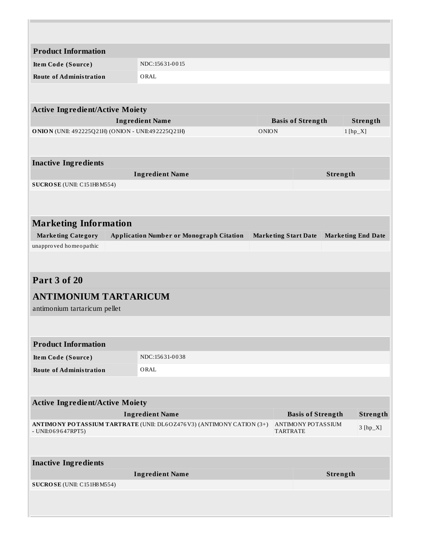| <b>Product Information</b>                         |                                                                      |              |                                       |                           |            |
|----------------------------------------------------|----------------------------------------------------------------------|--------------|---------------------------------------|---------------------------|------------|
| Item Code (Source)                                 | NDC:15631-0015                                                       |              |                                       |                           |            |
| <b>Route of Administration</b>                     | ORAL                                                                 |              |                                       |                           |            |
|                                                    |                                                                      |              |                                       |                           |            |
| <b>Active Ingredient/Active Moiety</b>             |                                                                      |              |                                       |                           |            |
|                                                    | <b>Ingredient Name</b>                                               |              | <b>Basis of Strength</b>              |                           | Strength   |
| ONION (UNII: 492225Q21H) (ONION - UNII:492225Q21H) |                                                                      | <b>ONION</b> |                                       | $1$ [hp_X]                |            |
|                                                    |                                                                      |              |                                       |                           |            |
|                                                    |                                                                      |              |                                       |                           |            |
| <b>Inactive Ingredients</b>                        | <b>Ingredient Name</b>                                               |              |                                       | Strength                  |            |
| SUCROSE (UNII: C151H8 M554)                        |                                                                      |              |                                       |                           |            |
|                                                    |                                                                      |              |                                       |                           |            |
|                                                    |                                                                      |              |                                       |                           |            |
| <b>Marketing Information</b>                       |                                                                      |              |                                       |                           |            |
| <b>Marketing Category</b>                          | <b>Application Number or Monograph Citation</b>                      |              | <b>Marketing Start Date</b>           | <b>Marketing End Date</b> |            |
| unapproved homeopathic                             |                                                                      |              |                                       |                           |            |
|                                                    |                                                                      |              |                                       |                           |            |
|                                                    |                                                                      |              |                                       |                           |            |
| <b>Part 3 of 20</b>                                |                                                                      |              |                                       |                           |            |
| <b>ANTIMONIUM TARTARICUM</b>                       |                                                                      |              |                                       |                           |            |
| antimonium tartaricum pellet                       |                                                                      |              |                                       |                           |            |
|                                                    |                                                                      |              |                                       |                           |            |
|                                                    |                                                                      |              |                                       |                           |            |
| <b>Product Information</b>                         |                                                                      |              |                                       |                           |            |
| Item Code (Source)                                 | NDC:15631-0038                                                       |              |                                       |                           |            |
| <b>Route of Administration</b>                     | ORAL                                                                 |              |                                       |                           |            |
|                                                    |                                                                      |              |                                       |                           |            |
| <b>Active Ingredient/Active Moiety</b>             |                                                                      |              |                                       |                           |            |
|                                                    | <b>Ingredient Name</b>                                               |              | <b>Basis of Strength</b>              |                           | Strength   |
| - UNII:069647RPT5)                                 | ANTIMONY POTASSIUM TARTRATE (UNII: DL6OZ476V3) (ANTIMONY CATION (3+) |              | ANTIMONY POTASSIUM<br><b>TARTRATE</b> |                           | $3 [hp_X]$ |
|                                                    |                                                                      |              |                                       |                           |            |
|                                                    |                                                                      |              |                                       |                           |            |
| <b>Inactive Ingredients</b>                        |                                                                      |              |                                       |                           |            |
|                                                    | <b>Ingredient Name</b>                                               |              |                                       | Strength                  |            |
| SUCROSE (UNII: C151H8 M554)                        |                                                                      |              |                                       |                           |            |
|                                                    |                                                                      |              |                                       |                           |            |
|                                                    |                                                                      |              |                                       |                           |            |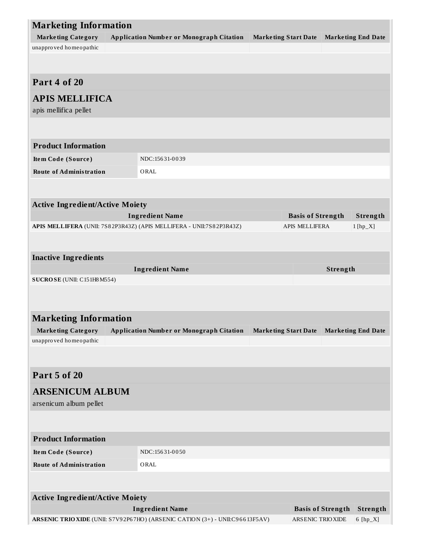| <b>Marketing Information</b>           |                                                                              |                             |                          |                          |                           |
|----------------------------------------|------------------------------------------------------------------------------|-----------------------------|--------------------------|--------------------------|---------------------------|
| <b>Marketing Category</b>              | <b>Application Number or Monograph Citation</b>                              | <b>Marketing Start Date</b> |                          |                          | <b>Marketing End Date</b> |
| unapproved homeopathic                 |                                                                              |                             |                          |                          |                           |
|                                        |                                                                              |                             |                          |                          |                           |
| Part 4 of 20                           |                                                                              |                             |                          |                          |                           |
| <b>APIS MELLIFICA</b>                  |                                                                              |                             |                          |                          |                           |
| apis mellifica pellet                  |                                                                              |                             |                          |                          |                           |
|                                        |                                                                              |                             |                          |                          |                           |
| <b>Product Information</b>             |                                                                              |                             |                          |                          |                           |
| Item Code (Source)                     | NDC:15631-0039                                                               |                             |                          |                          |                           |
| <b>Route of Administration</b>         | ORAL                                                                         |                             |                          |                          |                           |
|                                        |                                                                              |                             |                          |                          |                           |
| <b>Active Ingredient/Active Moiety</b> |                                                                              |                             |                          |                          |                           |
|                                        | <b>Ingredient Name</b>                                                       |                             | <b>Basis of Strength</b> |                          | Strength                  |
|                                        | APIS MELLIFERA (UNII: 7S82P3R43Z) (APIS MELLIFERA - UNII:7S82P3R43Z)         |                             | <b>APIS MELLIFERA</b>    |                          | $1$ [hp_X]                |
|                                        |                                                                              |                             |                          |                          |                           |
|                                        |                                                                              |                             |                          |                          |                           |
| <b>Inactive Ingredients</b>            |                                                                              |                             |                          |                          |                           |
|                                        | <b>Ingredient Name</b>                                                       |                             |                          | Strength                 |                           |
| SUCROSE (UNII: C151H8 M554)            |                                                                              |                             |                          |                          |                           |
|                                        |                                                                              |                             |                          |                          |                           |
| <b>Marketing Information</b>           |                                                                              |                             |                          |                          |                           |
| <b>Marketing Category</b>              | <b>Application Number or Monograph Citation</b>                              | <b>Marketing Start Date</b> |                          |                          | <b>Marketing End Date</b> |
| unapproved homeopathic                 |                                                                              |                             |                          |                          |                           |
|                                        |                                                                              |                             |                          |                          |                           |
|                                        |                                                                              |                             |                          |                          |                           |
| <b>Part 5 of 20</b>                    |                                                                              |                             |                          |                          |                           |
| <b>ARSENICUM ALBUM</b>                 |                                                                              |                             |                          |                          |                           |
| arsenicum album pellet                 |                                                                              |                             |                          |                          |                           |
|                                        |                                                                              |                             |                          |                          |                           |
| <b>Product Information</b>             |                                                                              |                             |                          |                          |                           |
| Item Code (Source)                     | NDC:15631-0050                                                               |                             |                          |                          |                           |
| <b>Route of Administration</b>         | ORAL                                                                         |                             |                          |                          |                           |
|                                        |                                                                              |                             |                          |                          |                           |
|                                        |                                                                              |                             |                          |                          |                           |
| <b>Active Ingredient/Active Moiety</b> |                                                                              |                             |                          |                          |                           |
|                                        | <b>Ingredient Name</b>                                                       |                             |                          | <b>Basis of Strength</b> | <b>Strength</b>           |
|                                        | ARSENIC TRIO XIDE (UNII: S7V92P67HO) (ARSENIC CATION (3+) - UNII:C96613F5AV) |                             | ARSENIC TRIOXIDE         |                          | $6$ [hp_X]                |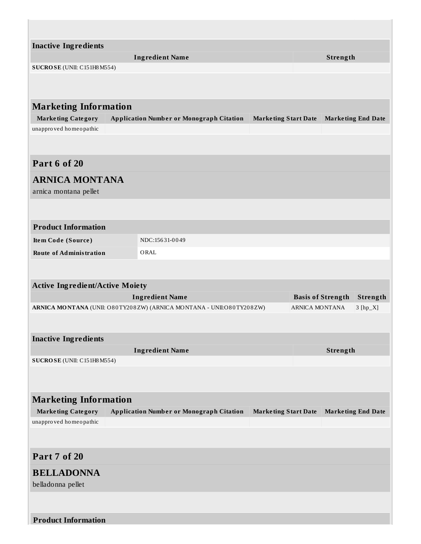| <b>Inactive Ingredients</b>            |                                                                       |                             |                                      |
|----------------------------------------|-----------------------------------------------------------------------|-----------------------------|--------------------------------------|
|                                        | <b>Ingredient Name</b>                                                |                             | Strength                             |
| SUCROSE (UNII: C151H8M554)             |                                                                       |                             |                                      |
|                                        |                                                                       |                             |                                      |
|                                        |                                                                       |                             |                                      |
| <b>Marketing Information</b>           |                                                                       |                             |                                      |
| <b>Marketing Category</b>              | <b>Application Number or Monograph Citation</b>                       | <b>Marketing Start Date</b> | <b>Marketing End Date</b>            |
| unapproved homeopathic                 |                                                                       |                             |                                      |
|                                        |                                                                       |                             |                                      |
|                                        |                                                                       |                             |                                      |
| Part 6 of 20                           |                                                                       |                             |                                      |
| <b>ARNICA MONTANA</b>                  |                                                                       |                             |                                      |
| arnica montana pellet                  |                                                                       |                             |                                      |
|                                        |                                                                       |                             |                                      |
| <b>Product Information</b>             |                                                                       |                             |                                      |
|                                        |                                                                       |                             |                                      |
| Item Code (Source)                     | NDC:15631-0049                                                        |                             |                                      |
| <b>Route of Administration</b>         | ORAL                                                                  |                             |                                      |
|                                        |                                                                       |                             |                                      |
| <b>Active Ingredient/Active Moiety</b> |                                                                       |                             |                                      |
|                                        | <b>Ingredient Name</b>                                                |                             | <b>Basis of Strength</b><br>Strength |
|                                        | ARNICA MONTANA (UNII: O80TY208ZW) (ARNICA MONTANA - UNII: O80TY208ZW) |                             | <b>ARNICA MONTANA</b><br>$3 [hp_X]$  |
|                                        |                                                                       |                             |                                      |
| <b>Inactive Ingredients</b>            |                                                                       |                             |                                      |
|                                        | <b>Ingredient Name</b>                                                |                             | Strength                             |
| SUCROSE (UNII: C151H8 M554)            |                                                                       |                             |                                      |
|                                        |                                                                       |                             |                                      |
|                                        |                                                                       |                             |                                      |
| <b>Marketing Information</b>           |                                                                       |                             |                                      |
| <b>Marketing Category</b>              | <b>Application Number or Monograph Citation</b>                       | <b>Marketing Start Date</b> | <b>Marketing End Date</b>            |
| unapproved homeopathic                 |                                                                       |                             |                                      |
|                                        |                                                                       |                             |                                      |
|                                        |                                                                       |                             |                                      |
| Part 7 of 20                           |                                                                       |                             |                                      |
| <b>BELLADONNA</b>                      |                                                                       |                             |                                      |
| belladonna pellet                      |                                                                       |                             |                                      |
|                                        |                                                                       |                             |                                      |
|                                        |                                                                       |                             |                                      |
| <b>Product Information</b>             |                                                                       |                             |                                      |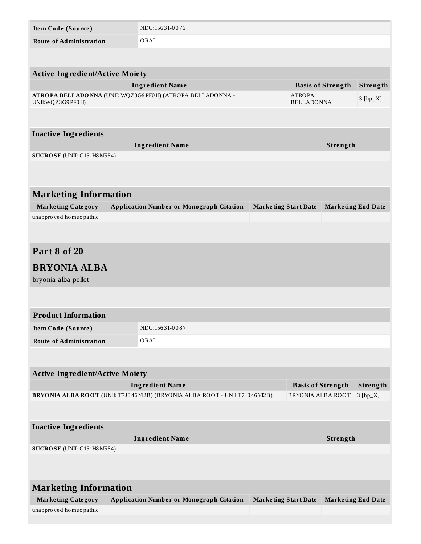| Item Code (Source)                                  | NDC:15631-0076                                                                      |                             |                          |                           |            |
|-----------------------------------------------------|-------------------------------------------------------------------------------------|-----------------------------|--------------------------|---------------------------|------------|
| <b>Route of Administration</b>                      | ORAL                                                                                |                             |                          |                           |            |
|                                                     |                                                                                     |                             |                          |                           |            |
|                                                     |                                                                                     |                             |                          |                           |            |
| <b>Active Ingredient/Active Moiety</b>              |                                                                                     |                             |                          |                           |            |
|                                                     | <b>Ingredient Name</b><br>ATROPA BELLADONNA (UNII: WQZ3G9PF0H) (ATROPA BELLADONNA - |                             | <b>ATROPA</b>            | <b>Basis of Strength</b>  | Strength   |
| UNII: WQZ3G9 PF0H)                                  |                                                                                     |                             | <b>BELLADONNA</b>        |                           | $3 [hp_X]$ |
|                                                     |                                                                                     |                             |                          |                           |            |
| <b>Inactive Ingredients</b>                         |                                                                                     |                             |                          |                           |            |
|                                                     | <b>Ingredient Name</b>                                                              |                             |                          | Strength                  |            |
| SUCROSE (UNII: C151H8 M554)                         |                                                                                     |                             |                          |                           |            |
|                                                     |                                                                                     |                             |                          |                           |            |
|                                                     |                                                                                     |                             |                          |                           |            |
| <b>Marketing Information</b>                        |                                                                                     |                             |                          |                           |            |
| <b>Marketing Category</b>                           | <b>Application Number or Monograph Citation</b>                                     | <b>Marketing Start Date</b> |                          | <b>Marketing End Date</b> |            |
| unapproved homeopathic                              |                                                                                     |                             |                          |                           |            |
|                                                     |                                                                                     |                             |                          |                           |            |
|                                                     |                                                                                     |                             |                          |                           |            |
| Part 8 of 20                                        |                                                                                     |                             |                          |                           |            |
| <b>BRYONIA ALBA</b>                                 |                                                                                     |                             |                          |                           |            |
| bryonia alba pellet                                 |                                                                                     |                             |                          |                           |            |
|                                                     |                                                                                     |                             |                          |                           |            |
|                                                     |                                                                                     |                             |                          |                           |            |
| <b>Product Information</b>                          |                                                                                     |                             |                          |                           |            |
| Item Code (Source)                                  | NDC:15631-0087                                                                      |                             |                          |                           |            |
| <b>Route of Administration</b>                      | ORAL                                                                                |                             |                          |                           |            |
|                                                     |                                                                                     |                             |                          |                           |            |
|                                                     |                                                                                     |                             |                          |                           |            |
| <b>Active Ingredient/Active Moiety</b>              | <b>Ingredient Name</b>                                                              |                             | <b>Basis of Strength</b> |                           | Strength   |
|                                                     | BRYONIA ALBA ROOT (UNII: T7J046 YI2B) (BRYONIA ALBA ROOT - UNII:T7J046 YI2B)        |                             | <b>BRYONIA ALBA ROOT</b> |                           | $3 [hp_X]$ |
|                                                     |                                                                                     |                             |                          |                           |            |
|                                                     |                                                                                     |                             |                          |                           |            |
| <b>Inactive Ingredients</b>                         |                                                                                     |                             |                          |                           |            |
|                                                     | <b>Ingredient Name</b>                                                              |                             |                          | Strength                  |            |
| SUCROSE (UNII: C151H8 M554)                         |                                                                                     |                             |                          |                           |            |
|                                                     |                                                                                     |                             |                          |                           |            |
|                                                     |                                                                                     |                             |                          |                           |            |
| <b>Marketing Information</b>                        |                                                                                     |                             |                          |                           |            |
| <b>Marketing Category</b><br>unapproved homeopathic | <b>Application Number or Monograph Citation</b>                                     | <b>Marketing Start Date</b> |                          | <b>Marketing End Date</b> |            |
|                                                     |                                                                                     |                             |                          |                           |            |
|                                                     |                                                                                     |                             |                          |                           |            |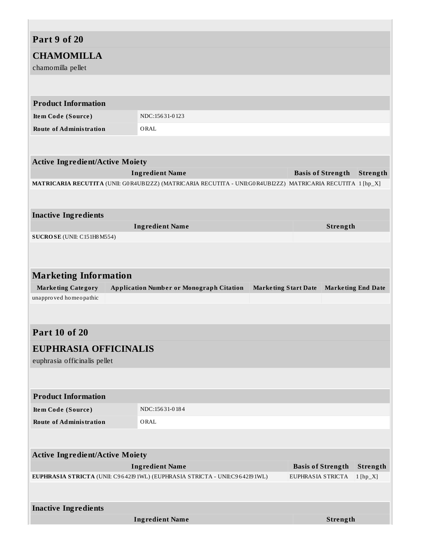# **Part 9 of 20 CHAMOMILLA** chamomilla pellet **Product Information Ite m Code (Source )** NDC:156 31-0 123 **Route of Administration** ORAL **Active Ingredient/Active Moiety Ingredient Name Basis of Strength Strength MATRICARIA RECUTITA** (UNII: G0R4UBI2ZZ) (MATRICARIA RECUTITA - UNII:G0R4UBI2ZZ) MATRICARIA RECUTITA 1 [hp\_X] **Inactive Ingredients Ingredient Name Strength SUCROSE** (UNII: C151H8M554) **Marketing Information Marke ting Category Application Numbe r or Monograph Citation Marke ting Start Date Marke ting End Date** unappro ved homeo pathic **Part 10 of 20 EUPHRASIA OFFICINALIS** euphrasia officinalis pellet **Product Information Ite m Code (Source )** NDC:156 31-0 18 4 **Route of Administration** ORAL **Active Ingredient/Active Moiety Ingredient Name Basis of Strength Strength EUPHRASIA STRICTA** (UNII: C9642I9 1WL) (EUPHRASIA STRICTA - UNII:C9642I9 1WL) EUPHRASIA STRICTA 1 [hp\_X] **Inactive Ingredients Ingredient Name Strength**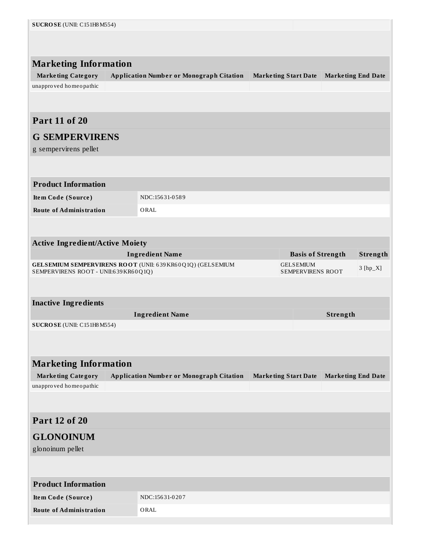| SUCROSE (UNII: C151H8M554)             |                                                            |                                              |                           |            |
|----------------------------------------|------------------------------------------------------------|----------------------------------------------|---------------------------|------------|
|                                        |                                                            |                                              |                           |            |
|                                        |                                                            |                                              |                           |            |
| <b>Marketing Information</b>           |                                                            |                                              |                           |            |
| <b>Marketing Category</b>              | <b>Application Number or Monograph Citation</b>            | <b>Marketing Start Date</b>                  | <b>Marketing End Date</b> |            |
| unapproved homeopathic                 |                                                            |                                              |                           |            |
|                                        |                                                            |                                              |                           |            |
| <b>Part 11 of 20</b>                   |                                                            |                                              |                           |            |
|                                        |                                                            |                                              |                           |            |
| <b>G SEMPERVIRENS</b>                  |                                                            |                                              |                           |            |
| g sempervirens pellet                  |                                                            |                                              |                           |            |
|                                        |                                                            |                                              |                           |            |
| <b>Product Information</b>             |                                                            |                                              |                           |            |
| Item Code (Source)                     | NDC:15631-0589                                             |                                              |                           |            |
| <b>Route of Administration</b>         | ORAL                                                       |                                              |                           |            |
|                                        |                                                            |                                              |                           |            |
|                                        |                                                            |                                              |                           |            |
| <b>Active Ingredient/Active Moiety</b> | <b>Ingredient Name</b>                                     |                                              |                           |            |
|                                        | GELSEMIUM SEMPERVIRENS ROOT (UNII: 639 KR60Q1Q) (GELSEMIUM | <b>Basis of Strength</b><br><b>GELSEMIUM</b> |                           | Strength   |
| SEMPERVIRENS ROOT - UNII:639KR60Q1Q)   |                                                            | SEMPERVIRENS ROOT                            |                           | $3 [hp_X]$ |
|                                        |                                                            |                                              |                           |            |
| <b>Inactive Ingredients</b>            |                                                            |                                              |                           |            |
|                                        |                                                            |                                              |                           |            |
|                                        | <b>Ingredient Name</b>                                     |                                              | Strength                  |            |
| SUCROSE (UNII: C151H8M554)             |                                                            |                                              |                           |            |
|                                        |                                                            |                                              |                           |            |
|                                        |                                                            |                                              |                           |            |
| <b>Marketing Information</b>           |                                                            |                                              |                           |            |
| <b>Marketing Category</b>              | <b>Application Number or Monograph Citation</b>            | <b>Marketing Start Date</b>                  | <b>Marketing End Date</b> |            |
| unapproved homeopathic                 |                                                            |                                              |                           |            |
|                                        |                                                            |                                              |                           |            |
| <b>Part 12 of 20</b>                   |                                                            |                                              |                           |            |
|                                        |                                                            |                                              |                           |            |
| <b>GLONOINUM</b>                       |                                                            |                                              |                           |            |
| glonoinum pellet                       |                                                            |                                              |                           |            |
|                                        |                                                            |                                              |                           |            |
| <b>Product Information</b>             |                                                            |                                              |                           |            |
| Item Code (Source)                     | NDC:15631-0207                                             |                                              |                           |            |
| <b>Route of Administration</b>         | ORAL                                                       |                                              |                           |            |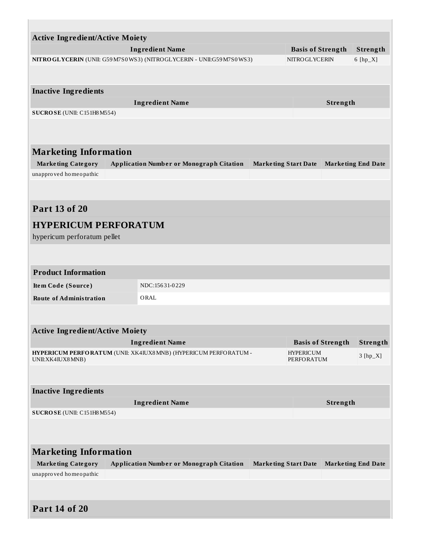| <b>Active Ingredient/Active Moiety</b>                                   |  |                                                                 |                             |                                       |                          |                           |
|--------------------------------------------------------------------------|--|-----------------------------------------------------------------|-----------------------------|---------------------------------------|--------------------------|---------------------------|
| <b>Ingredient Name</b>                                                   |  |                                                                 |                             |                                       | <b>Basis of Strength</b> | Strength                  |
| NITRO GLYCERIN (UNII: G59 M7S0 WS3) (NITRO GLYCERIN - UNII:G59 M7S0 WS3) |  |                                                                 | NITROGLYCERIN               |                                       | 6 [hp_X]                 |                           |
|                                                                          |  |                                                                 |                             |                                       |                          |                           |
|                                                                          |  |                                                                 |                             |                                       |                          |                           |
| <b>Inactive Ingredients</b>                                              |  |                                                                 |                             |                                       |                          |                           |
| SUCROSE (UNII: C151H8M554)                                               |  | <b>Ingredient Name</b>                                          |                             |                                       | Strength                 |                           |
|                                                                          |  |                                                                 |                             |                                       |                          |                           |
|                                                                          |  |                                                                 |                             |                                       |                          |                           |
|                                                                          |  |                                                                 |                             |                                       |                          |                           |
| <b>Marketing Information</b>                                             |  |                                                                 |                             |                                       |                          |                           |
| <b>Marketing Category</b>                                                |  | <b>Application Number or Monograph Citation</b>                 | <b>Marketing Start Date</b> |                                       |                          | <b>Marketing End Date</b> |
| unapproved homeopathic                                                   |  |                                                                 |                             |                                       |                          |                           |
|                                                                          |  |                                                                 |                             |                                       |                          |                           |
|                                                                          |  |                                                                 |                             |                                       |                          |                           |
| <b>Part 13 of 20</b>                                                     |  |                                                                 |                             |                                       |                          |                           |
| <b>HYPERICUM PERFORATUM</b>                                              |  |                                                                 |                             |                                       |                          |                           |
| hypericum perforatum pellet                                              |  |                                                                 |                             |                                       |                          |                           |
|                                                                          |  |                                                                 |                             |                                       |                          |                           |
|                                                                          |  |                                                                 |                             |                                       |                          |                           |
| <b>Product Information</b>                                               |  |                                                                 |                             |                                       |                          |                           |
| Item Code (Source)                                                       |  | NDC:15631-0229                                                  |                             |                                       |                          |                           |
| <b>Route of Administration</b>                                           |  | ORAL                                                            |                             |                                       |                          |                           |
|                                                                          |  |                                                                 |                             |                                       |                          |                           |
|                                                                          |  |                                                                 |                             |                                       |                          |                           |
| <b>Active Ingredient/Active Moiety</b>                                   |  |                                                                 |                             |                                       |                          |                           |
|                                                                          |  | <b>Ingredient Name</b>                                          |                             |                                       | <b>Basis of Strength</b> | Strength                  |
| UNII: XK4IUX8 MNB)                                                       |  | HYPERICUM PERFORATUM (UNII: XK4IUX8MNB) (HYPERICUM PERFORATUM - |                             | <b>HYPERICUM</b><br><b>PERFORATUM</b> |                          | $3 [hp_X]$                |
|                                                                          |  |                                                                 |                             |                                       |                          |                           |
|                                                                          |  |                                                                 |                             |                                       |                          |                           |
| <b>Inactive Ingredients</b>                                              |  |                                                                 |                             |                                       |                          |                           |
|                                                                          |  | <b>Ingredient Name</b>                                          |                             |                                       | Strength                 |                           |
| SUCROSE (UNII: C151H8M554)                                               |  |                                                                 |                             |                                       |                          |                           |
|                                                                          |  |                                                                 |                             |                                       |                          |                           |
|                                                                          |  |                                                                 |                             |                                       |                          |                           |
| <b>Marketing Information</b>                                             |  |                                                                 |                             |                                       |                          |                           |
| <b>Marketing Category</b>                                                |  | <b>Application Number or Monograph Citation</b>                 | <b>Marketing Start Date</b> |                                       |                          | <b>Marketing End Date</b> |
| unapproved homeopathic                                                   |  |                                                                 |                             |                                       |                          |                           |
|                                                                          |  |                                                                 |                             |                                       |                          |                           |
|                                                                          |  |                                                                 |                             |                                       |                          |                           |
| <b>Part 14 of 20</b>                                                     |  |                                                                 |                             |                                       |                          |                           |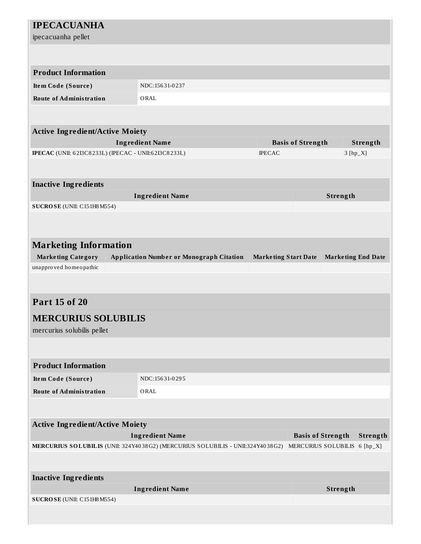| <b>IPECACUANHA</b><br>ipecacuanha pellet                    |                                                                                |                             |                              |                           |            |
|-------------------------------------------------------------|--------------------------------------------------------------------------------|-----------------------------|------------------------------|---------------------------|------------|
|                                                             |                                                                                |                             |                              |                           |            |
|                                                             |                                                                                |                             |                              |                           |            |
| <b>Product Information</b>                                  |                                                                                |                             |                              |                           |            |
| Item Code (Source)                                          | NDC:15631-0237                                                                 |                             |                              |                           |            |
| <b>Route of Administration</b>                              | ORAL                                                                           |                             |                              |                           |            |
|                                                             |                                                                                |                             |                              |                           |            |
| <b>Active Ingredient/Active Moiety</b>                      |                                                                                |                             |                              |                           |            |
|                                                             | <b>Ingredient Name</b>                                                         |                             | <b>Basis of Strength</b>     |                           | Strength   |
| <b>IPECAC</b> (UNII: 62I3C8233L) (IPECAC - UNII:62I3C8233L) |                                                                                | <b>IPECAC</b>               |                              |                           | $3 [hp_X]$ |
|                                                             |                                                                                |                             |                              |                           |            |
| <b>Inactive Ingredients</b>                                 |                                                                                |                             |                              |                           |            |
|                                                             | <b>Ingredient Name</b>                                                         |                             |                              | Strength                  |            |
| SUCROSE (UNII: C151H8M554)                                  |                                                                                |                             |                              |                           |            |
|                                                             |                                                                                |                             |                              |                           |            |
|                                                             |                                                                                |                             |                              |                           |            |
| <b>Marketing Information</b>                                |                                                                                |                             |                              |                           |            |
| <b>Marketing Category</b>                                   | <b>Application Number or Monograph Citation</b>                                | <b>Marketing Start Date</b> |                              | <b>Marketing End Date</b> |            |
| unapproved homeopathic                                      |                                                                                |                             |                              |                           |            |
|                                                             |                                                                                |                             |                              |                           |            |
| <b>Part 15 of 20</b>                                        |                                                                                |                             |                              |                           |            |
| <b>MERCURIUS SOLUBILIS</b>                                  |                                                                                |                             |                              |                           |            |
| mercurius solubilis pellet                                  |                                                                                |                             |                              |                           |            |
|                                                             |                                                                                |                             |                              |                           |            |
| <b>Product Information</b>                                  |                                                                                |                             |                              |                           |            |
| Item Code (Source)                                          | NDC:15631-0295                                                                 |                             |                              |                           |            |
| <b>Route of Administration</b>                              | ORAL                                                                           |                             |                              |                           |            |
|                                                             |                                                                                |                             |                              |                           |            |
|                                                             |                                                                                |                             |                              |                           |            |
| <b>Active Ingredient/Active Moiety</b>                      |                                                                                |                             |                              |                           |            |
|                                                             | <b>Ingredient Name</b>                                                         |                             | <b>Basis of Strength</b>     |                           | Strength   |
|                                                             | MERCURIUS SOLUBILIS (UNII: 324Y4038G2) (MERCURIUS SOLUBILIS - UNII:324Y4038G2) |                             | MERCURIUS SOLUBILIS 6 [hp_X] |                           |            |
|                                                             |                                                                                |                             |                              |                           |            |
| <b>Inactive Ingredients</b>                                 |                                                                                |                             |                              |                           |            |
|                                                             | <b>Ingredient Name</b>                                                         |                             |                              | Strength                  |            |
| SUCROSE (UNII: C151H8M554)                                  |                                                                                |                             |                              |                           |            |
|                                                             |                                                                                |                             |                              |                           |            |
|                                                             |                                                                                |                             |                              |                           |            |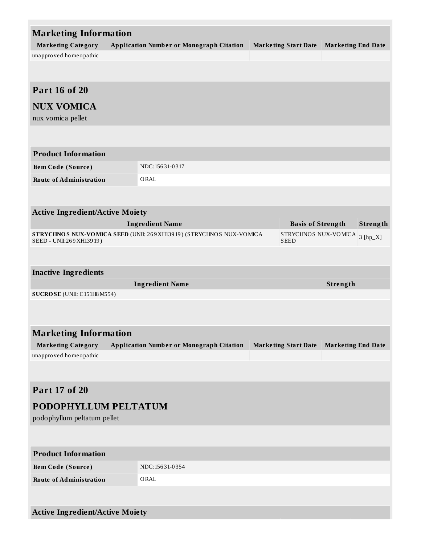| <b>Marketing Information</b>           |                                                                     |  |                             |                           |            |
|----------------------------------------|---------------------------------------------------------------------|--|-----------------------------|---------------------------|------------|
| <b>Marketing Category</b>              | <b>Application Number or Monograph Citation</b>                     |  | <b>Marketing Start Date</b> | <b>Marketing End Date</b> |            |
| unapproved homeopathic                 |                                                                     |  |                             |                           |            |
|                                        |                                                                     |  |                             |                           |            |
| <b>Part 16 of 20</b>                   |                                                                     |  |                             |                           |            |
| <b>NUX VOMICA</b>                      |                                                                     |  |                             |                           |            |
| nux vomica pellet                      |                                                                     |  |                             |                           |            |
|                                        |                                                                     |  |                             |                           |            |
| <b>Product Information</b>             |                                                                     |  |                             |                           |            |
| Item Code (Source)                     | NDC:15631-0317                                                      |  |                             |                           |            |
| <b>Route of Administration</b>         | ORAL                                                                |  |                             |                           |            |
|                                        |                                                                     |  |                             |                           |            |
| <b>Active Ingredient/Active Moiety</b> |                                                                     |  |                             |                           |            |
|                                        | <b>Ingredient Name</b>                                              |  | <b>Basis of Strength</b>    |                           | Strength   |
| SEED - UNII:269 XH139 19)              | STRYCHNOS NUX-VOMICA SEED (UNII: 269 XH13919) (STRYCHNOS NUX-VOMICA |  |                             | STRYCHNOS NUX-VOMICA      | $3 [hp_X]$ |
|                                        |                                                                     |  | <b>SEED</b>                 |                           |            |
|                                        |                                                                     |  |                             |                           |            |
| <b>Inactive Ingredients</b>            |                                                                     |  |                             |                           |            |
|                                        | <b>Ingredient Name</b>                                              |  |                             | Strength                  |            |
| SUCROSE (UNII: C151H8 M554)            |                                                                     |  |                             |                           |            |
|                                        |                                                                     |  |                             |                           |            |
| <b>Marketing Information</b>           |                                                                     |  |                             |                           |            |
| <b>Marketing Category</b>              | <b>Application Number or Monograph Citation</b>                     |  | <b>Marketing Start Date</b> | <b>Marketing End Date</b> |            |
| unapproved homeopathic                 |                                                                     |  |                             |                           |            |
|                                        |                                                                     |  |                             |                           |            |
|                                        |                                                                     |  |                             |                           |            |
| Part 17 of 20                          |                                                                     |  |                             |                           |            |
| PODOPHYLLUM PELTATUM                   |                                                                     |  |                             |                           |            |
| podophyllum peltatum pellet            |                                                                     |  |                             |                           |            |
|                                        |                                                                     |  |                             |                           |            |
| <b>Product Information</b>             |                                                                     |  |                             |                           |            |
| Item Code (Source)                     | NDC:15631-0354                                                      |  |                             |                           |            |
| <b>Route of Administration</b>         | ORAL                                                                |  |                             |                           |            |
|                                        |                                                                     |  |                             |                           |            |
| <b>Active Ingredient/Active Moiety</b> |                                                                     |  |                             |                           |            |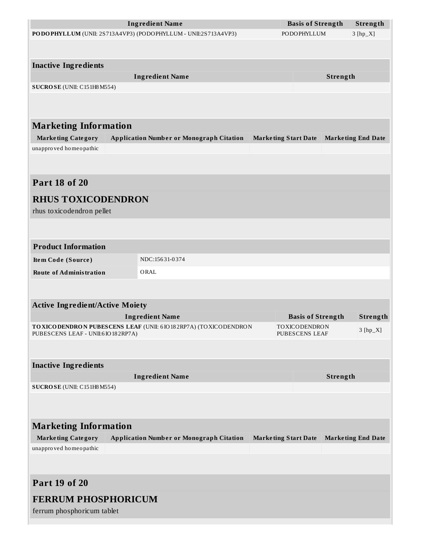|                                                                | <b>Ingredient Name</b>                                                | <b>Basis of Strength</b>    |          | Strength                  |
|----------------------------------------------------------------|-----------------------------------------------------------------------|-----------------------------|----------|---------------------------|
| PODOPHYLLUM (UNII: 2S713A4VP3) (PODOPHYLLUM - UNII:2S713A4VP3) |                                                                       | PODOPHYLLUM                 |          | $3 [hp_X]$                |
|                                                                |                                                                       |                             |          |                           |
| <b>Inactive Ingredients</b>                                    |                                                                       |                             |          |                           |
|                                                                | <b>Ingredient Name</b>                                                |                             | Strength |                           |
| SUCROSE (UNII: C151H8 M554)                                    |                                                                       |                             |          |                           |
|                                                                |                                                                       |                             |          |                           |
|                                                                |                                                                       |                             |          |                           |
| <b>Marketing Information</b>                                   |                                                                       |                             |          |                           |
| <b>Marketing Category</b>                                      | <b>Application Number or Monograph Citation</b>                       | <b>Marketing Start Date</b> |          | <b>Marketing End Date</b> |
| unapproved homeopathic                                         |                                                                       |                             |          |                           |
|                                                                |                                                                       |                             |          |                           |
|                                                                |                                                                       |                             |          |                           |
| <b>Part 18 of 20</b>                                           |                                                                       |                             |          |                           |
| <b>RHUS TOXICODENDRON</b>                                      |                                                                       |                             |          |                           |
| rhus toxicodendron pellet                                      |                                                                       |                             |          |                           |
|                                                                |                                                                       |                             |          |                           |
|                                                                |                                                                       |                             |          |                           |
| <b>Product Information</b>                                     |                                                                       |                             |          |                           |
| Item Code (Source)                                             | NDC:15631-0374                                                        |                             |          |                           |
| <b>Route of Administration</b>                                 | ORAL                                                                  |                             |          |                           |
|                                                                |                                                                       |                             |          |                           |
|                                                                |                                                                       |                             |          |                           |
| <b>Active Ingredient/Active Moiety</b>                         | <b>Ingredient Name</b>                                                | <b>Basis of Strength</b>    |          | Strength                  |
|                                                                | TO XICO DENDRON PUBESCENS LEAF (UNII: 6 IO 18 2RP7A) (TO XICO DENDRON | TOXICODENDRON               |          |                           |
| PUBESCENS LEAF - UNII:6 IO 182RP7A)                            |                                                                       | <b>PUBESCENS LEAF</b>       |          | $3 [hp_X]$                |
|                                                                |                                                                       |                             |          |                           |
| <b>Inactive Ingredients</b>                                    |                                                                       |                             |          |                           |
|                                                                | <b>Ingredient Name</b>                                                |                             | Strength |                           |
| SUCROSE (UNII: C151H8M554)                                     |                                                                       |                             |          |                           |
|                                                                |                                                                       |                             |          |                           |
|                                                                |                                                                       |                             |          |                           |
| <b>Marketing Information</b>                                   |                                                                       |                             |          |                           |
| <b>Marketing Category</b>                                      | <b>Application Number or Monograph Citation</b>                       | <b>Marketing Start Date</b> |          | <b>Marketing End Date</b> |
| unapproved homeopathic                                         |                                                                       |                             |          |                           |
|                                                                |                                                                       |                             |          |                           |
|                                                                |                                                                       |                             |          |                           |
| <b>Part 19 of 20</b>                                           |                                                                       |                             |          |                           |
| <b>FERRUM PHOSPHORICUM</b>                                     |                                                                       |                             |          |                           |
| ferrum phosphoricum tablet                                     |                                                                       |                             |          |                           |
|                                                                |                                                                       |                             |          |                           |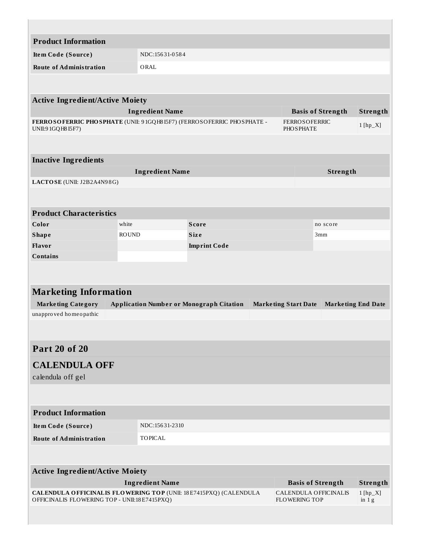| <b>Product Information</b>                                                                                               |              |                        |                                                 |  |                             |                              |                           |
|--------------------------------------------------------------------------------------------------------------------------|--------------|------------------------|-------------------------------------------------|--|-----------------------------|------------------------------|---------------------------|
| Item Code (Source)                                                                                                       |              | NDC:15631-0584         |                                                 |  |                             |                              |                           |
| <b>Route of Administration</b>                                                                                           |              | ORAL                   |                                                 |  |                             |                              |                           |
|                                                                                                                          |              |                        |                                                 |  |                             |                              |                           |
|                                                                                                                          |              |                        |                                                 |  |                             |                              |                           |
| <b>Active Ingredient/Active Moiety</b>                                                                                   |              |                        |                                                 |  |                             |                              |                           |
| FERROSOFERRIC PHOSPHATE (UNII: 91GQH815F7) (FERROSOFERRIC PHOSPHATE -                                                    |              | <b>Ingredient Name</b> |                                                 |  | <b>FERROSOFERRIC</b>        | <b>Basis of Strength</b>     | Strength                  |
| UNII:91GQH815F7)                                                                                                         |              |                        |                                                 |  | <b>PHOSPHATE</b>            |                              | $1$ [hp_X]                |
|                                                                                                                          |              |                        |                                                 |  |                             |                              |                           |
| <b>Inactive Ingredients</b>                                                                                              |              |                        |                                                 |  |                             |                              |                           |
|                                                                                                                          |              | <b>Ingredient Name</b> |                                                 |  |                             | Strength                     |                           |
| LACTOSE (UNII: J2B2A4N98G)                                                                                               |              |                        |                                                 |  |                             |                              |                           |
|                                                                                                                          |              |                        |                                                 |  |                             |                              |                           |
|                                                                                                                          |              |                        |                                                 |  |                             |                              |                           |
| <b>Product Characteristics</b><br>Color                                                                                  | white        |                        | <b>Score</b>                                    |  |                             | no score                     |                           |
| <b>Shape</b>                                                                                                             | <b>ROUND</b> |                        | <b>Size</b>                                     |  |                             | 3mm                          |                           |
| Flavor                                                                                                                   |              |                        | <b>Imprint Code</b>                             |  |                             |                              |                           |
| <b>Contains</b>                                                                                                          |              |                        |                                                 |  |                             |                              |                           |
|                                                                                                                          |              |                        |                                                 |  |                             |                              |                           |
| <b>Marketing Information</b>                                                                                             |              |                        |                                                 |  |                             |                              |                           |
| <b>Marketing Category</b>                                                                                                |              |                        | <b>Application Number or Monograph Citation</b> |  | <b>Marketing Start Date</b> |                              | <b>Marketing End Date</b> |
| unapproved homeopathic                                                                                                   |              |                        |                                                 |  |                             |                              |                           |
|                                                                                                                          |              |                        |                                                 |  |                             |                              |                           |
| <b>Part 20 of 20</b>                                                                                                     |              |                        |                                                 |  |                             |                              |                           |
| <b>CALENDULA OFF</b>                                                                                                     |              |                        |                                                 |  |                             |                              |                           |
| calendula off gel                                                                                                        |              |                        |                                                 |  |                             |                              |                           |
|                                                                                                                          |              |                        |                                                 |  |                             |                              |                           |
|                                                                                                                          |              |                        |                                                 |  |                             |                              |                           |
| <b>Product Information</b>                                                                                               |              |                        |                                                 |  |                             |                              |                           |
| Item Code (Source)                                                                                                       |              | NDC:15631-2310         |                                                 |  |                             |                              |                           |
| <b>Route of Administration</b>                                                                                           |              | <b>TOPICAL</b>         |                                                 |  |                             |                              |                           |
|                                                                                                                          |              |                        |                                                 |  |                             |                              |                           |
| <b>Active Ingredient/Active Moiety</b>                                                                                   |              |                        |                                                 |  |                             |                              |                           |
|                                                                                                                          |              | <b>Ingredient Name</b> |                                                 |  |                             | <b>Basis of Strength</b>     | Strength                  |
| <b>CALENDULA OFFICINALIS FLOWERING TOP (UNII: 18E7415PXQ) (CALENDULA</b><br>OFFICINALIS FLOWERING TOP - UNII:18E7415PXQ) |              |                        |                                                 |  | <b>FLOWERING TOP</b>        | <b>CALENDULA OFFICINALIS</b> | $1[hp_X]$<br>in $1g$      |
|                                                                                                                          |              |                        |                                                 |  |                             |                              |                           |
|                                                                                                                          |              |                        |                                                 |  |                             |                              |                           |